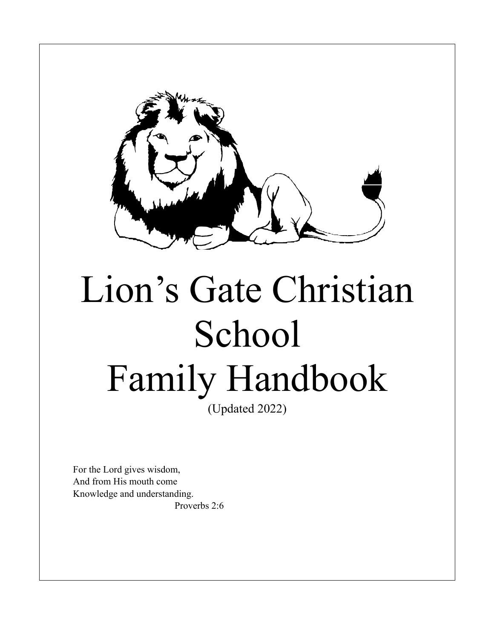

# Lion's Gate Christian School Family Handbook

(Updated 2022)

For the Lord gives wisdom, And from His mouth come Knowledge and understanding. Proverbs 2:6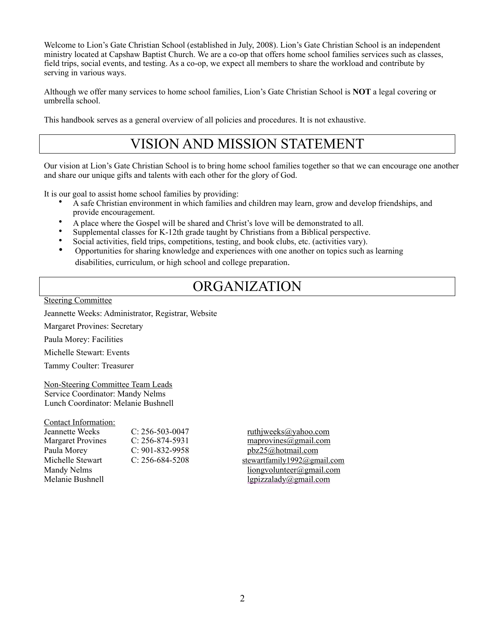Welcome to Lion's Gate Christian School (established in July, 2008). Lion's Gate Christian School is an independent ministry located at Capshaw Baptist Church. We are a co-op that offers home school families services such as classes, field trips, social events, and testing. As a co-op, we expect all members to share the workload and contribute by serving in various ways.

Although we offer many services to home school families, Lion's Gate Christian School is **NOT** a legal covering or umbrella school.

This handbook serves as a general overview of all policies and procedures. It is not exhaustive.

# VISION AND MISSION STATEMENT

Our vision at Lion's Gate Christian School is to bring home school families together so that we can encourage one another and share our unique gifts and talents with each other for the glory of God.

It is our goal to assist home school families by providing:

- A safe Christian environment in which families and children may learn, grow and develop friendships, and provide encouragement.
- A place where the Gospel will be shared and Christ's love will be demonstrated to all.
- Supplemental classes for K-12th grade taught by Christians from a Biblical perspective.
- Social activities, field trips, competitions, testing, and book clubs, etc. (activities vary).
- Opportunities for sharing knowledge and experiences with one another on topics such as learning disabilities, curriculum, or high school and college preparation.

#### ORGANIZATION

Steering Committee

Jeannette Weeks: Administrator, Registrar, Website

Margaret Provines: Secretary

Paula Morey: Facilities

Michelle Stewart: Events

Tammy Coulter: Treasurer

Non-Steering Committee Team Leads Service Coordinator: Mandy Nelms Lunch Coordinator: Melanie Bushnell

Contact Information:

| Jeannette Weeks          | $C: 256-503-0047$     | ruthjweeks@yahoo.com          |
|--------------------------|-----------------------|-------------------------------|
| <b>Margaret Provines</b> | $C: 256 - 874 - 5931$ | maprovines@gmail.com          |
| Paula Morey              | $C: 901 - 832 - 9958$ | pbz25@hotmail.com             |
| Michelle Stewart         | $C: 256-684-5208$     | stewartfamily1992@gmail.o     |
| Mandy Nelms              |                       | $\frac{1}{\text{longvolume}}$ |
| Melanie Bushnell         |                       | lgpizzalady@gmail.com         |

 $ruthi weeks @$ yahoo.com  $maprovines @gmail.com$ [pbz25@hotmail.com](mailto:pbz25@hotmail.com) stewartfamily1992@gmail.com  $\lim_{\alpha \to 0}$  [liongvolunteer@gmail.com](mailto:liongvolunteer@gmail.com)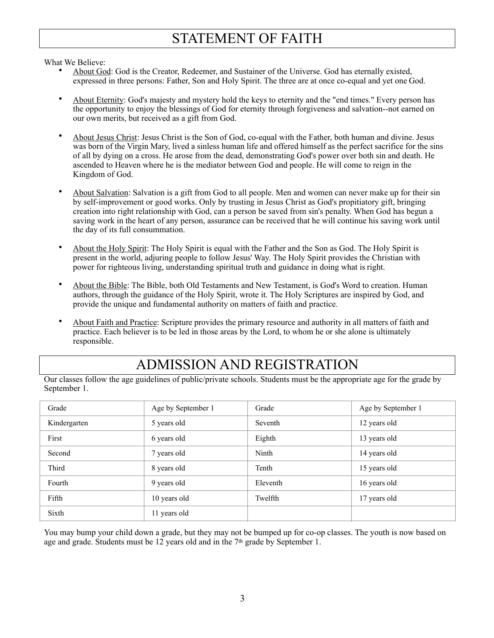# STATEMENT OF FAITH

What We Believe:

- About God: God is the Creator, Redeemer, and Sustainer of the Universe. God has eternally existed, expressed in three persons: Father, Son and Holy Spirit. The three are at once co-equal and yet one God.
- About Eternity: God's majesty and mystery hold the keys to eternity and the "end times." Every person has the opportunity to enjoy the blessings of God for eternity through forgiveness and salvation--not earned on our own merits, but received as a gift from God.
- About Jesus Christ: Jesus Christ is the Son of God, co-equal with the Father, both human and divine. Jesus was born of the Virgin Mary, lived a sinless human life and offered himself as the perfect sacrifice for the sins of all by dying on a cross. He arose from the dead, demonstrating God's power over both sin and death. He ascended to Heaven where he is the mediator between God and people. He will come to reign in the Kingdom of God.
- About Salvation: Salvation is a gift from God to all people. Men and women can never make up for their sin by self-improvement or good works. Only by trusting in Jesus Christ as God's propitiatory gift, bringing creation into right relationship with God, can a person be saved from sin's penalty. When God has begun a saving work in the heart of any person, assurance can be received that he will continue his saving work until the day of its full consummation.
- About the Holy Spirit: The Holy Spirit is equal with the Father and the Son as God. The Holy Spirit is present in the world, adjuring people to follow Jesus' Way. The Holy Spirit provides the Christian with power for righteous living, understanding spiritual truth and guidance in doing what is right.
- About the Bible: The Bible, both Old Testaments and New Testament, is God's Word to creation. Human authors, through the guidance of the Holy Spirit, wrote it. The Holy Scriptures are inspired by God, and provide the unique and fundamental authority on matters of faith and practice.
- About Faith and Practice: Scripture provides the primary resource and authority in all matters of faith and practice. Each believer is to be led in those areas by the Lord, to whom he or she alone is ultimately responsible.

# ADMISSION AND REGISTRATION

Our classes follow the age guidelines of public/private schools. Students must be the appropriate age for the grade by September 1.

| Grade        | Age by September 1 | Grade    | Age by September 1 |
|--------------|--------------------|----------|--------------------|
| Kindergarten | 5 years old        | Seventh  | 12 years old       |
| First        | 6 years old        | Eighth   | 13 years old       |
| Second       | 7 years old        | Ninth    | 14 years old       |
| Third        | 8 years old        | Tenth    | 15 years old       |
| Fourth       | 9 years old        | Eleventh | 16 years old       |
| Fifth        | 10 years old       | Twelfth  | 17 years old       |
| Sixth        | 11 years old       |          |                    |

You may bump your child down a grade, but they may not be bumped up for co-op classes. The youth is now based on age and grade. Students must be 12 years old and in the 7<sup>th</sup> grade by September 1.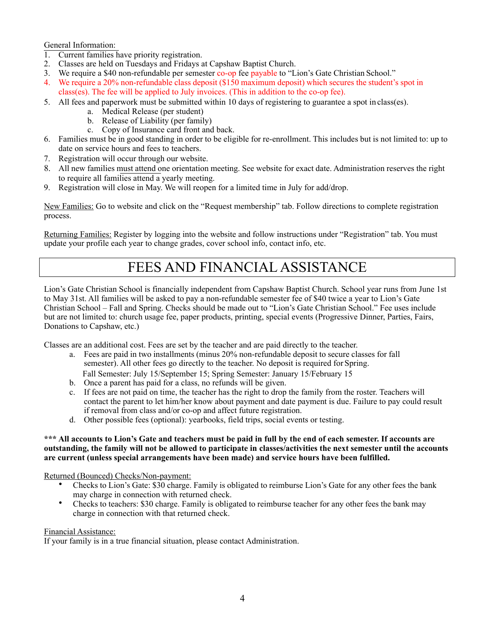General Information:

- 1. Current families have priority registration.
- 2. Classes are held on Tuesdays and Fridays at Capshaw Baptist Church.
- 3. We require a \$40 non-refundable per semester co-op fee payable to "Lion's Gate Christian School."
- 4. We require a 20% non-refundable class deposit (\$150 maximum deposit) which secures the student's spot in class(es). The fee will be applied to July invoices. (This in addition to the co-op fee).
- 5. All fees and paperwork must be submitted within 10 days of registering to guarantee a spot in class(es).
	- a. Medical Release (per student)
	- b. Release of Liability (per family)
	- c. Copy of Insurance card front and back.
- 6. Families must be in good standing in order to be eligible for re-enrollment. This includes but is not limited to: up to date on service hours and fees to teachers.
- 7. Registration will occur through our website.
- 8. All new families must attend one orientation meeting. See website for exact date. Administration reserves the right to require all families attend a yearly meeting.
- 9. Registration will close in May. We will reopen for a limited time in July for add/drop.

New Families: Go to website and click on the "Request membership" tab. Follow directions to complete registration process.

Returning Families: Register by logging into the website and follow instructions under "Registration" tab. You must update your profile each year to change grades, cover school info, contact info, etc.

# FEES AND FINANCIAL ASSISTANCE

Lion's Gate Christian School is financially independent from Capshaw Baptist Church. School year runs from June 1st to May 31st. All families will be asked to pay a non-refundable semester fee of \$40 twice a year to Lion's Gate Christian School – Fall and Spring. Checks should be made out to "Lion's Gate Christian School." Fee uses include but are not limited to: church usage fee, paper products, printing, special events (Progressive Dinner, Parties, Fairs, Donations to Capshaw, etc.)

Classes are an additional cost. Fees are set by the teacher and are paid directly to the teacher.

- a. Fees are paid in two installments (minus 20% non-refundable deposit to secure classes for fall semester). All other fees go directly to the teacher. No deposit is required for Spring. Fall Semester: July 15/September 15; Spring Semester: January 15/February 15
- b. Once a parent has paid for a class, no refunds will be given.
- c. If fees are not paid on time, the teacher has the right to drop the family from the roster. Teachers will contact the parent to let him/her know about payment and date payment is due. Failure to pay could result if removal from class and/or co-op and affect future registration.
- d. Other possible fees (optional): yearbooks, field trips, social events or testing.

#### **\*\*\* All accounts to Lion's Gate and teachers must be paid in full by the end of each semester. If accounts are outstanding, the family will not be allowed to participate in classes/activities the next semester until the accounts are current (unless special arrangements have been made) and service hours have been fulfilled.**

Returned (Bounced) Checks/Non-payment:

- Checks to Lion's Gate: \$30 charge. Family is obligated to reimburse Lion's Gate for any other fees the bank may charge in connection with returned check.
- Checks to teachers: \$30 charge. Family is obligated to reimburse teacher for any other fees the bank may charge in connection with that returned check.

#### Financial Assistance:

If your family is in a true financial situation, please contact Administration.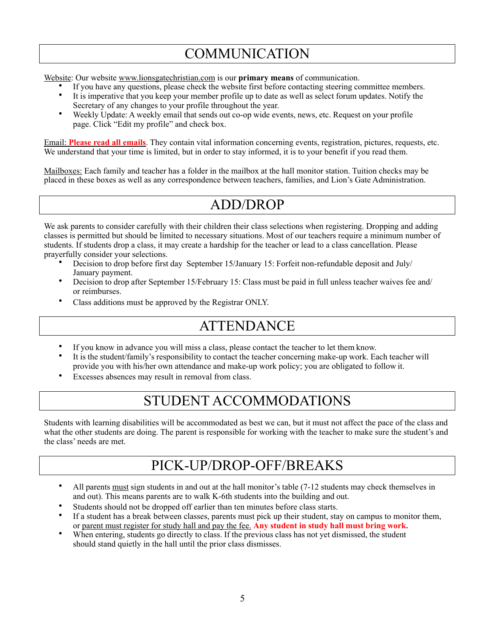# **COMMUNICATION**

Website: Our website [www.lionsgatechristian.com](http://www.lionsgatechristian.com/) is our **primary means** of communication.

- If you have any questions, please check the website first before contacting steering committee members. • It is imperative that you keep your member profile up to date as well as select forum updates. Notify the
- Secretary of any changes to your profile throughout the year.
- Weekly Update: A weekly email that sends out co-op wide events, news, etc. Request on your profile page. Click "Edit my profile" and check box.

Email: **Please read all emails**. They contain vital information concerning events, registration, pictures, requests, etc. We understand that your time is limited, but in order to stay informed, it is to your benefit if you read them.

Mailboxes: Each family and teacher has a folder in the mailbox at the hall monitor station. Tuition checks may be placed in these boxes as well as any correspondence between teachers, families, and Lion's Gate Administration.

## ADD/DROP

We ask parents to consider carefully with their children their class selections when registering. Dropping and adding classes is permitted but should be limited to necessary situations. Most of our teachers require a minimum number of students. If students drop a class, it may create a hardship for the teacher or lead to a class cancellation. Please prayerfully consider your selections.

- Decision to drop before first day September 15/January 15: Forfeit non-refundable deposit and July/ January payment.
- Decision to drop after September 15/February 15: Class must be paid in full unless teacher waives fee and/ or reimburses.
- Class additions must be approved by the Registrar ONLY.

# **ATTENDANCE**

- If you know in advance you will miss a class, please contact the teacher to let them know.
- It is the student/family's responsibility to contact the teacher concerning make-up work. Each teacher will provide you with his/her own attendance and make-up work policy; you are obligated to follow it.
- Excesses absences may result in removal from class.

# STUDENT ACCOMMODATIONS

Students with learning disabilities will be accommodated as best we can, but it must not affect the pace of the class and what the other students are doing. The parent is responsible for working with the teacher to make sure the student's and the class' needs are met.

# PICK-UP/DROP-OFF/BREAKS

- All parents must sign students in and out at the hall monitor's table (7-12 students may check themselves in and out). This means parents are to walk K-6th students into the building and out.
- Students should not be dropped off earlier than ten minutes before class starts.
- If a student has a break between classes, parents must pick up their student, stay on campus to monitor them, or parent must register for study hall and pay the fee. **Any student in study hall must bring work.**
- When entering, students go directly to class. If the previous class has not yet dismissed, the student should stand quietly in the hall until the prior class dismisses.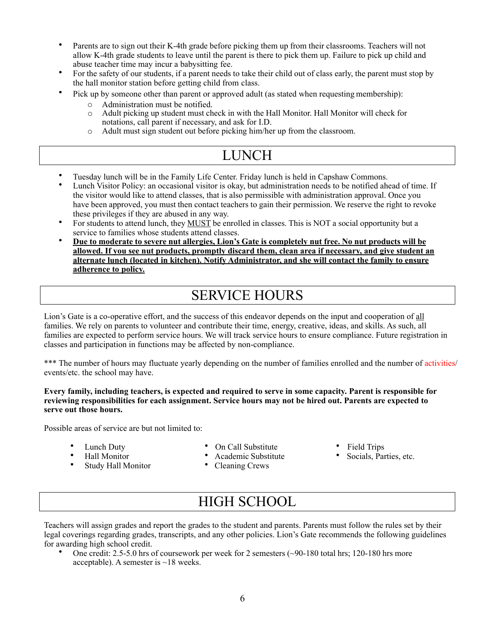- Parents are to sign out their K-4th grade before picking them up from their classrooms. Teachers will not allow K-4th grade students to leave until the parent is there to pick them up. Failure to pick up child and abuse teacher time may incur a babysitting fee.
- For the safety of our students, if a parent needs to take their child out of class early, the parent must stop by the hall monitor station before getting child from class.
- Pick up by someone other than parent or approved adult (as stated when requesting membership):
	- o Administration must be notified.<br>  $\circ$  Adult picking up student must ch
	- o Adult picking up student must check in with the Hall Monitor. Hall Monitor will check for notations, call parent if necessary, and ask for I.D.
	- o Adult must sign student out before picking him/her up from the classroom.

# LUNCH

- Tuesday lunch will be in the Family Life Center. Friday lunch is held in Capshaw Commons.
- Lunch Visitor Policy: an occasional visitor is okay, but administration needs to be notified ahead of time. If the visitor would like to attend classes, that is also permissible with administration approval. Once you have been approved, you must then contact teachers to gain their permission. We reserve the right to revoke these privileges if they are abused in any way.
- For students to attend lunch, they MUST be enrolled in classes. This is NOT a social opportunity but a service to families whose students attend classes.
- Due to moderate to severe nut allergies, Lion's Gate is completely nut free. No nut products will be **allowed. If you see nut products, promptly discard them, clean area if necessary, and give student an alternate lunch (located in kitchen). Notify Administrator, and she will contact the family to ensure adherence to policy.**

# SERVICE HOURS

Lion's Gate is a co-operative effort, and the success of this endeavor depends on the input and cooperation of all families. We rely on parents to volunteer and contribute their time, energy, creative, ideas, and skills. As such, all families are expected to perform service hours. We will track service hours to ensure compliance. Future registration in classes and participation in functions may be affected by non-compliance.

\*\*\* The number of hours may fluctuate yearly depending on the number of families enrolled and the number of activities/ events/etc. the school may have.

#### **Every family, including teachers, is expected and required to serve in some capacity. Parent is responsible for reviewing responsibilities for each assignment. Service hours may not be hired out. Parents are expected to serve out those hours.**

Possible areas of service are but not limited to:

- Lunch Duty
- Hall Monitor
- Study Hall Monitor
- On Call Substitute • Academic Substitute

• Cleaning Crews

- Field Trips
- Socials, Parties, etc.

# HIGH SCHOOL

Teachers will assign grades and report the grades to the student and parents. Parents must follow the rules set by their legal coverings regarding grades, transcripts, and any other policies. Lion's Gate recommends the following guidelines for awarding high school credit.

• One credit: 2.5-5.0 hrs of coursework per week for 2 semesters (~90-180 total hrs; 120-180 hrs more acceptable). A semester is ~18 weeks.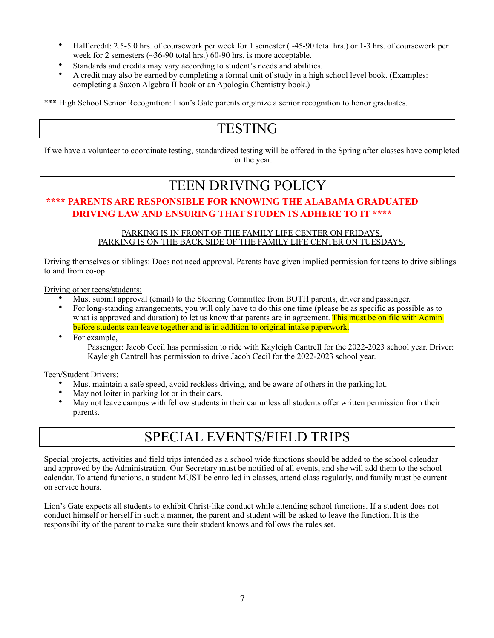- Half credit: 2.5-5.0 hrs. of coursework per week for 1 semester (~45-90 total hrs.) or 1-3 hrs. of coursework per week for 2 semesters (~36-90 total hrs.) 60-90 hrs. is more acceptable.
- Standards and credits may vary according to student's needs and abilities.
- A credit may also be earned by completing a formal unit of study in a high school level book. (Examples: completing a Saxon Algebra II book or an Apologia Chemistry book.)

\*\*\* High School Senior Recognition: Lion's Gate parents organize a senior recognition to honor graduates.

# **TESTING**

If we have a volunteer to coordinate testing, standardized testing will be offered in the Spring after classes have completed for the year.

#### TEEN DRIVING POLICY

#### **\*\*\*\* PARENTS ARE RESPONSIBLE FOR KNOWING THE ALABAMA GRADUATED DRIVING LAW AND ENSURING THAT STUDENTS ADHERE TO IT \*\*\*\***

#### PARKING IS IN FRONT OF THE FAMILY LIFE CENTER ON FRIDAYS. PARKING IS ON THE BACK SIDE OF THE FAMILY LIFE CENTER ON TUESDAYS.

Driving themselves or siblings: Does not need approval. Parents have given implied permission for teens to drive siblings to and from co-op.

Driving other teens/students:

- Must submit approval (email) to the Steering Committee from BOTH parents, driver and passenger.<br>• For long-standing arrangements, you will only have to do this one time (please be as specific as poss
- For long-standing arrangements, you will only have to do this one time (please be as specific as possible as to what is approved and duration) to let us know that parents are in agreement. This must be on file with Admin before students can leave together and is in addition to original intake paperwork.
- For example,

Passenger: Jacob Cecil has permission to ride with Kayleigh Cantrell for the 2022-2023 school year. Driver: Kayleigh Cantrell has permission to drive Jacob Cecil for the 2022-2023 school year.

Teen/Student Drivers:

- Must maintain a safe speed, avoid reckless driving, and be aware of others in the parking lot.
- May not loiter in parking lot or in their cars.
- May not leave campus with fellow students in their car unless all students offer written permission from their parents.

## SPECIAL EVENTS/FIELD TRIPS

Special projects, activities and field trips intended as a school wide functions should be added to the school calendar and approved by the Administration. Our Secretary must be notified of all events, and she will add them to the school calendar. To attend functions, a student MUST be enrolled in classes, attend class regularly, and family must be current on service hours.

Lion's Gate expects all students to exhibit Christ-like conduct while attending school functions. If a student does not conduct himself or herself in such a manner, the parent and student will be asked to leave the function. It is the responsibility of the parent to make sure their student knows and follows the rules set.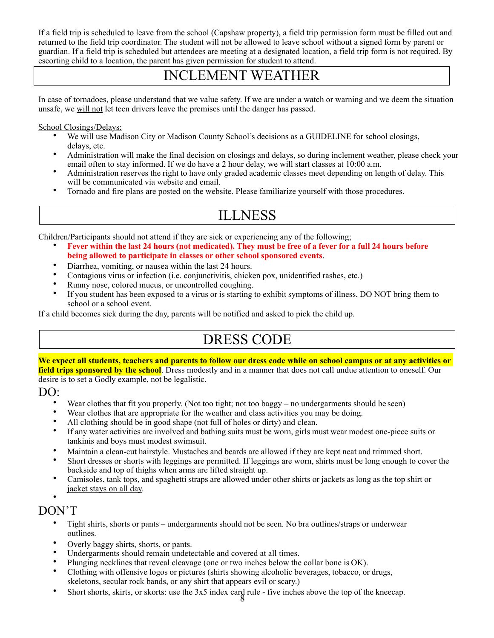If a field trip is scheduled to leave from the school (Capshaw property), a field trip permission form must be filled out and returned to the field trip coordinator. The student will not be allowed to leave school without a signed form by parent or guardian. If a field trip is scheduled but attendees are meeting at a designated location, a field trip form is not required. By escorting child to a location, the parent has given permission for student to attend.

#### INCLEMENT WEATHER

In case of tornadoes, please understand that we value safety. If we are under a watch or warning and we deem the situation unsafe, we will not let teen drivers leave the premises until the danger has passed.

School Closings/Delays:

- We will use Madison City or Madison County School's decisions as a GUIDELINE for school closings, delays, etc.
- Administration will make the final decision on closings and delays, so during inclement weather, please check your email often to stay informed. If we do have a 2 hour delay, we will start classes at 10:00 a.m.
- Administration reserves the right to have only graded academic classes meet depending on length of delay. This will be communicated via website and email.
- Tornado and fire plans are posted on the website. Please familiarize yourself with those procedures.

# ILLNESS

Children/Participants should not attend if they are sick or experiencing any of the following;

- Fever within the last 24 hours (not medicated). They must be free of a fever for a full 24 hours before **being allowed to participate in classes or other school sponsored events**.
- Diarrhea, vomiting, or nausea within the last 24 hours.
- Contagious virus or infection (i.e. conjunctivitis, chicken pox, unidentified rashes, etc.)
- Runny nose, colored mucus, or uncontrolled coughing.
- If you student has been exposed to a virus or is starting to exhibit symptoms of illness, DO NOT bring them to school or a school event.

If a child becomes sick during the day, parents will be notified and asked to pick the child up.

# DRESS CODE

**We expect all students, teachers and parents to follow our dress code while on school campus or at any activities or field trips sponsored by the school**. Dress modestly and in a manner that does not call undue attention to oneself. Our desire is to set a Godly example, not be legalistic.

DO:

- Wear clothes that fit you properly. (Not too tight; not too baggy no undergarments should be seen)
- Wear clothes that are appropriate for the weather and class activities you may be doing.
- All clothing should be in good shape (not full of holes or dirty) and clean.
- If any water activities are involved and bathing suits must be worn, girls must wear modest one-piece suits or tankinis and boys must modest swimsuit.
- Maintain a clean-cut hairstyle. Mustaches and beards are allowed if they are kept neat and trimmed short.
- Short dresses or shorts with leggings are permitted. If leggings are worn, shirts must be long enough to cover the backside and top of thighs when arms are lifted straight up.
- Camisoles, tank tops, and spaghetti straps are allowed under other shirts or jackets as long as the top shirt or jacket stays on all day.

#### • DON'T

- Tight shirts, shorts or pants undergarments should not be seen. No bra outlines/straps or underwear outlines.
- Overly baggy shirts, shorts, or pants.
- Undergarments should remain undetectable and covered at all times.
- Plunging necklines that reveal cleavage (one or two inches below the collar bone is OK).
- Clothing with offensive logos or pictures (shirts showing alcoholic beverages, tobacco, or drugs, skeletons, secular rock bands, or any shirt that appears evil or scary.)
- Short shorts, skirts, or skorts: use the 3x5 index card rule five inches above the top of the kneecap.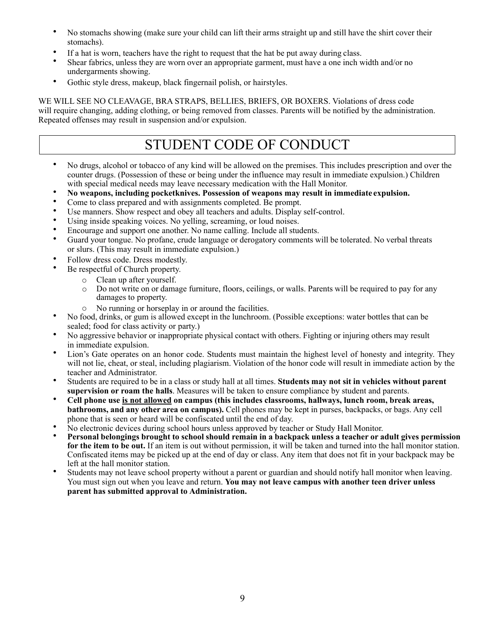- No stomachs showing (make sure your child can lift their arms straight up and still have the shirt cover their stomachs).
- If a hat is worn, teachers have the right to request that the hat be put away during class.
- Shear fabrics, unless they are worn over an appropriate garment, must have a one inch width and/or no undergarments showing.
- Gothic style dress, makeup, black fingernail polish, or hairstyles.

WE WILL SEE NO CLEAVAGE, BRA STRAPS, BELLIES, BRIEFS, OR BOXERS. Violations of dress code will require changing, adding clothing, or being removed from classes. Parents will be notified by the administration. Repeated offenses may result in suspension and/or expulsion.

# STUDENT CODE OF CONDUCT

- No drugs, alcohol or tobacco of any kind will be allowed on the premises. This includes prescription and over the counter drugs. (Possession of these or being under the influence may result in immediate expulsion.) Children with special medical needs may leave necessary medication with the Hall Monitor.
- **No weapons, including pocketknives. Possession of weapons may result in immediate expulsion.**
- Come to class prepared and with assignments completed. Be prompt.
- Use manners. Show respect and obey all teachers and adults. Display self-control.
- Using inside speaking voices. No yelling, screaming, or loud noises.
- Encourage and support one another. No name calling. Include all students.<br>• Guard your tongue. No profane, crude language or derogatory comments w
- Guard your tongue. No profane, crude language or derogatory comments will be tolerated. No verbal threats or slurs. (This may result in immediate expulsion.)
- Follow dress code. Dress modestly.
- Be respectful of Church property.
	- o Clean up after yourself.
	- o Do not write on or damage furniture, floors, ceilings, or walls. Parents will be required to pay for any damages to property.
	-
- <sup>o</sup> No running or horseplay in or around the facilities. No food, drinks, or gum is allowed except in the lunchroom. (Possible exceptions: water bottles that can be sealed; food for class activity or party.)
- No aggressive behavior or inappropriate physical contact with others. Fighting or injuring others may result in immediate expulsion.
- Lion's Gate operates on an honor code. Students must maintain the highest level of honesty and integrity. They will not lie, cheat, or steal, including plagiarism. Violation of the honor code will result in immediate action by the teacher and Administrator.
- Students are required to be in a class or study hall at all times. **Students may not sit in vehicles without parent supervision or roam the halls**. Measures will be taken to ensure compliance by student and parents.
- **Cell phone use is not allowed on campus (this includes classrooms, hallways, lunch room, break areas, bathrooms, and any other area on campus).** Cell phones may be kept in purses, backpacks, or bags. Any cell phone that is seen or heard will be confiscated until the end of day.
- No electronic devices during school hours unless approved by teacher or Study Hall Monitor.
- **Personal belongings brought to school should remain in a backpack unless a teacher or adult gives permission for the item to be out.** If an item is out without permission, it will be taken and turned into the hall monitor station. Confiscated items may be picked up at the end of day or class. Any item that does not fit in your backpack may be left at the hall monitor station.
- Students may not leave school property without a parent or guardian and should notify hall monitor when leaving. You must sign out when you leave and return. **You may not leave campus with another teen driver unless parent has submitted approval to Administration.**